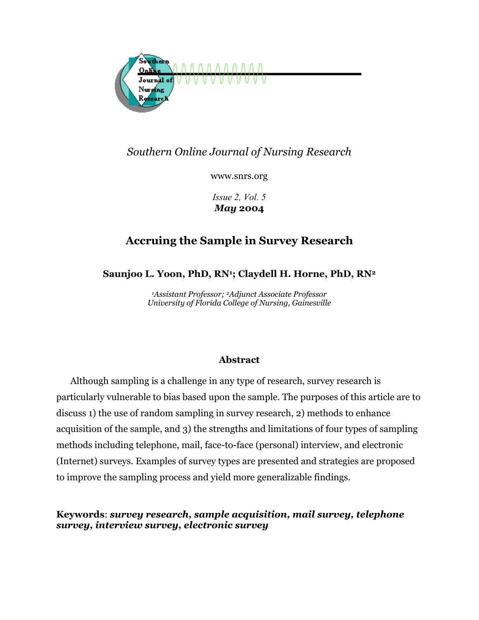

# *Southern Online Journal of Nursing Research*

www.snrs.org

*Issue 2, Vol. 5 May* **2004** 

# **Accruing the Sample in Survey Research**

**Saunjoo L. Yoon, PhD, RN1; Claydell H. Horne, PhD, RN2**

*1Assistant Professor; 2Adjunct Associate Professor University of Florida College of Nursing, Gainesville* 

## **Abstract**

Although sampling is a challenge in any type of research, survey research is particularly vulnerable to bias based upon the sample. The purposes of this article are to discuss 1) the use of random sampling in survey research, 2) methods to enhance acquisition of the sample, and 3) the strengths and limitations of four types of sampling methods including telephone, mail, face-to-face (personal) interview, and electronic (Internet) surveys. Examples of survey types are presented and strategies are proposed to improve the sampling process and yield more generalizable findings.

**Keywords**: *survey research, sample acquisition, mail survey, telephone survey, interview survey, electronic survey*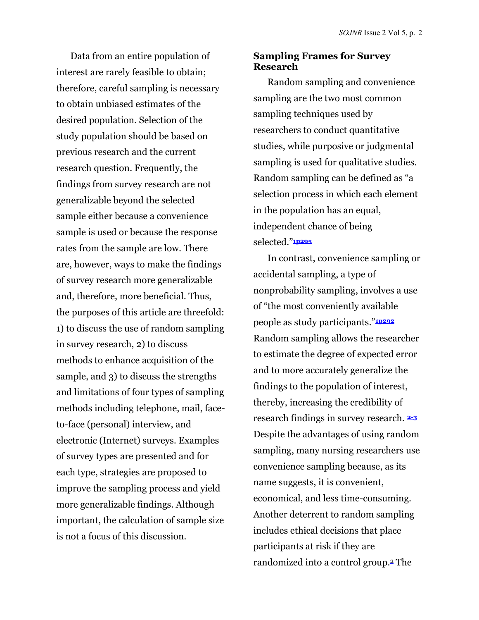Data from an entire population of interest are rarely feasible to obtain; therefore, careful sampling is necessary to obtain unbiased estimates of the desired population. Selection of the study population should be based on previous research and the current research question. Frequently, the findings from survey research are not generalizable beyond the selected sample either because a convenience sample is used or because the response rates from the sample are low. There are, however, ways to make the findings of survey research more generalizable and, therefore, more beneficial. Thus, the purposes of this article are threefold: 1) to discuss the use of random sampling in survey research, 2) to discuss methods to enhance acquisition of the sample, and 3) to discuss the strengths and limitations of four types of sampling methods including telephone, mail, faceto-face (personal) interview, and electronic (Internet) surveys. Examples of survey types are presented and for each type, strategies are proposed to improve the sampling process and yield more generalizable findings. Although important, the calculation of sample size is not a focus of this discussion.

## **Sampling Frames for Survey Research**

Random sampling and convenience sampling are the two most common sampling techniques used by researchers to conduct quantitative studies, while purposive or judgmental sampling is used for qualitative studies. Random sampling can be defined as "a selection process in which each element in the population has an equal, independent chance of being selected."**1p295**

In contrast, convenience sampling or accidental sampling, a type of nonprobability sampling, involves a use of "the most conveniently available people as study participants."**1p292** Random sampling allows the researcher to estimate the degree of expected error and to more accurately generalize the findings to the population of interest, thereby, increasing the credibility of research findings in survey research. **2-3** Despite the advantages of using random sampling, many nursing researchers use convenience sampling because, as its name suggests, it is convenient, economical, and less time-consuming. Another deterrent to random sampling includes ethical decisions that place participants at risk if they are randomized into a control group.2 The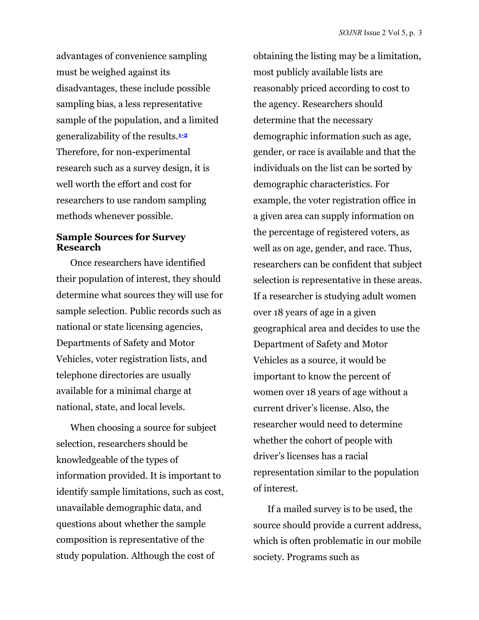advantages of convenience sampling must be weighed against its disadvantages, these include possible sampling bias, a less representative sample of the population, and a limited generalizability of the results.**1-2** Therefore, for non-experimental research such as a survey design, it is well worth the effort and cost for researchers to use random sampling methods whenever possible.

## **Sample Sources for Survey Research**

Once researchers have identified their population of interest, they should determine what sources they will use for sample selection. Public records such as national or state licensing agencies, Departments of Safety and Motor Vehicles, voter registration lists, and telephone directories are usually available for a minimal charge at national, state, and local levels.

When choosing a source for subject selection, researchers should be knowledgeable of the types of information provided. It is important to identify sample limitations, such as cost, unavailable demographic data, and questions about whether the sample composition is representative of the study population. Although the cost of

obtaining the listing may be a limitation, most publicly available lists are reasonably priced according to cost to the agency. Researchers should determine that the necessary demographic information such as age, gender, or race is available and that the individuals on the list can be sorted by demographic characteristics. For example, the voter registration office in a given area can supply information on the percentage of registered voters, as well as on age, gender, and race. Thus, researchers can be confident that subject selection is representative in these areas. If a researcher is studying adult women over 18 years of age in a given geographical area and decides to use the Department of Safety and Motor Vehicles as a source, it would be important to know the percent of women over 18 years of age without a current driver's license. Also, the researcher would need to determine whether the cohort of people with driver's licenses has a racial representation similar to the population of interest.

If a mailed survey is to be used, the source should provide a current address, which is often problematic in our mobile society. Programs such as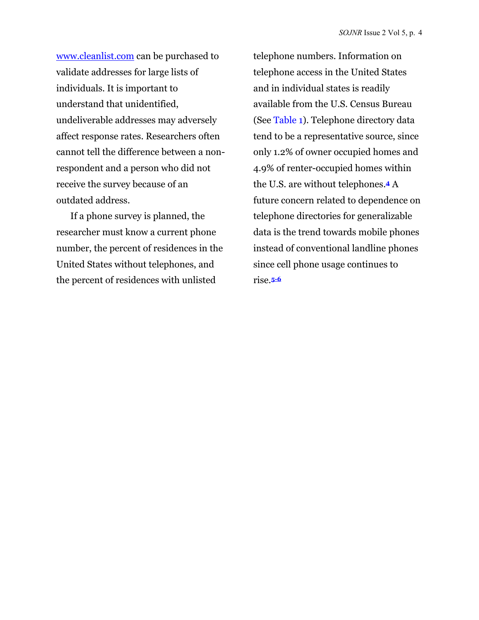[www.cleanlist.com c](http://www.cleanlist.com)an be purchased to validate addresses for large lists of individuals. It is important to understand that unidentified, undeliverable addresses may adversely affect response rates. Researchers often cannot tell the difference between a nonrespondent and a person who did not receive the survey because of an outdated address.

If a phone survey is planned, the researcher must know a current phone number, the percent of residences in the United States without telephones, and the percent of residences with unlisted

telephone numbers. Information on telephone access in the United States and in individual states is readily available from the U.S. Census Bureau (See [Table 1\)](#page-4-0). Telephone directory data tend to be a representative source, since only 1.2% of owner occupied homes and 4.9% of renter-occupied homes within the U.S. are without telephones.**4** A future concern related to dependence on telephone directories for generalizable data is the trend towards mobile phones instead of conventional landline phones since cell phone usage continues to rise.**5-6**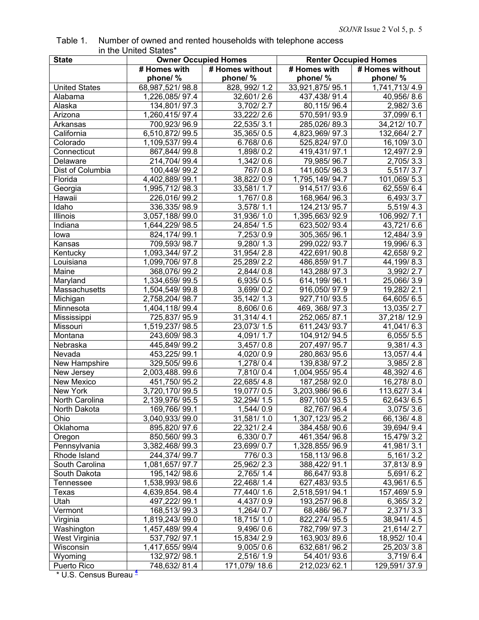<span id="page-4-0"></span>

| Table 1. | Number of owned and rented households with telephone access |
|----------|-------------------------------------------------------------|
|          | in the United States*                                       |

| <b>State</b>         | <b>Owner Occupied Homes</b> |                        |                 | <b>Renter Occupied Homes</b> |
|----------------------|-----------------------------|------------------------|-----------------|------------------------------|
|                      | # Homes with                | # Homes without        | # Homes with    | # Homes without              |
|                      | phone/%                     | phone/%                | phone/ %        | phone/%                      |
| <b>United States</b> | 68,987,521/98.8             | 828, 992/1.2           | 33,921,875/95.1 | 1,741,713/4.9                |
| Alabama              | 1,226,085/97.4              | 32,601/2.6             | 437,438/91.4    | 40,956/8.6                   |
| Alaska               | 134,801/97.3                | 3,702/2.7              | 80,115/96.4     | 2,982/3.6                    |
| Arizona              | 1,260,415/97.4              | 33,222/2.6             | 570,591/93.9    | 37,099/6.1                   |
| Arkansas             | 700,923/96.9                | 22,535/3.1             | 285,026/89.3    | 34,212/10.7                  |
| California           | 6,510,872/99.5              | 35,365/0.5             | 4,823,969/97.3  | 132,664/2.7                  |
| Colorado             | 1,109,537/99.4              | 6.768/0.6              | 525,824/97.0    | 16,109/3.0                   |
| Connecticut          | 867,844/99.8                | 1,898/0.2              | 419,431/97.1    | 12,497/2.9                   |
| Delaware             | 214,704/99.4                | 1,342/0.6              | 79,985/96.7     | 2,705/3.3                    |
| Dist of Columbia     | 100,449/99.2                | 767/0.8                | 141,605/96.3    | 5,517/3.7                    |
| Florida              | 4,402,889/99.1              | 38,822/0.9             | 1,795,149/94.7  | 101,069/5.3                  |
| Georgia              | 1,995,712/98.3              | 33,581/1.7             | 914,517/93.6    | 62,559/6.4                   |
| Hawaii               | 226,016/99.2                | $\overline{1,767/0.8}$ | 168,964/96.3    | 6,493/3.7                    |
| Idaho                | 336,335/98.9                | 3,578/1.1              | 124,213/95.7    | 5,519/4.3                    |
| Illinois             | 3,057,188/99.0              | 31,936/1.0             | 1,395,663/92.9  | 106,992/7.1                  |
| Indiana              | 1,644,229/98.5              | 24,854/1.5             | 623,502/93.4    | 43,721/6.6                   |
| lowa                 | 824, 174/99.1               | 7,253/0.9              | 305,365/96.1    | 12,484/3.9                   |
| Kansas               | 709,593/98.7                | 9,280/1.3              | 299,022/93.7    | 19,996/6.3                   |
| Kentucky             | 1,093,344/97.2              | 31,954/2.8             | 422,691/90.8    | 42,658/9.2                   |
| Louisiana            | 1,099,706/97.8              | 25,289/2.2             | 486,859/91.7    | 44,199/8.3                   |
| Maine                | 368,076/99.2                | 2,844/0.8              | 143,288/97.3    | 3,992/2.7                    |
| Maryland             | 1,334,659/99.5              | 6,935/0.5              | 614,199/96.1    | 25,066/3.9                   |
| Massachusetts        | 1,504,549/99.8              | 3,699/0.2              | 916,050/97.9    | 19,282/2.1                   |
| Michigan             | 2,758,204/98.7              | 35,142/1.3             | 927,710/93.5    | 64,605/6.5                   |
| Minnesota            | 1,404,118/99.4              | 8,606/0.6              | 469, 368/ 97.3  | 13,035/2.7                   |
| Mississippi          | 725,837/95.9                | 31,314/4.1             | 252,065/87.1    | 37,218/12.9                  |
| Missouri             | 1,519,237/98.5              | 23,073/1.5             | 611,243/93.7    | 41,041/6.3                   |
| Montana              | 243,609/98.3                | 4,091/1.7              | 104,912/94.5    | 6,055/5.5                    |
| Nebraska             | 445,849/99.2                | 3,457/0.8              | 207,497/95.7    | 9,381/4.3                    |
| Nevada               | 453,225/99.1                | 4,020/0.9              | 280,863/95.6    | 13,057/4.4                   |
| New Hampshire        | 329,505/99.6                | 1,278/0.4              | 139,838/97.2    | 3,985/2.8                    |
| New Jersey           | 2,003,488.99.6              | 7,810/0.4              | 1,004,955/95.4  | 48,392/4.6                   |
| New Mexico           | 451,750/95.2                | 22,685/4.8             | 187,258/92.0    | 16,278/8.0                   |
| New York             | 3,720,170/99.5              | 19,077/0.5             | 3,203,986/96.6  | 113,627/3.4                  |
| North Carolina       | 2,139,976/95.5              | 32,294/1.5             | 897,100/93.5    | 62,643/6.5                   |
| North Dakota         | 169,766/99.1                | 1,544/0.9              | 82,767/96.4     | 3,075/3.6                    |
| Ohio                 | 3,040,933/99.0              | 31,581/1.0             | 1,307,123/95.2  | 66,136/4.8                   |
| Oklahoma             | 895,820/97.6                | 22,321/2.4             | 384,458/90.6    | 39,694/9.4                   |
| Oregon               | 850,560/99.3                | 6,330/0.7              | 461,354/96.8    | 15,479/3.2                   |
| Pennsylvania         | 3,382,468/99.3              | 23,699/0.7             | 1,328,855/96.9  | 41,981/3.1                   |
| Rhode Island         | 244,374/99.7                | 776/0.3                | 158,113/96.8    | 5,161/3.2                    |
| South Carolina       | 1,081,657/97.7              | 25,962/2.3             | 388,422/91.1    | 37,813/8.9                   |
| South Dakota         | 195, 142/98.6               | 2,765/1.4              | 86,647/93.8     | 5,691/6.2                    |
| Tennessee            | 1,538,993/98.6              | 22,468/1.4             | 627,483/93.5    | 43,961/6.5                   |
| Texas                | 4,639,854.98.4              | 77,440/1.6             | 2,518,591/94.1  | 157,469/5.9                  |
| Utah                 | 497,222/99.1                | 4,437/0.9              | 193,257/96.8    | 6,365/3.2                    |
| Vermont              | 168,513/99.3                | 1,264/0.7              | 68,486/96.7     | 2,371/3.3                    |
| Virginia             | 1,819,243/99.0              | 18,715/1.0             | 822,274/95.5    | 38,941/4.5                   |
| Washington           | 1,457,489/99.4              | 9,496/0.6              | 782,799/97.3    | 21,614/2.7                   |
| West Virginia        | 537,792/97.1                | 15,834/2.9             | 163,903/89.6    | 18,952/10.4                  |
| Wisconsin            | 1,417,655/99/4              | 9,005/0.6              | 632,681/96.2    | 25,203/3.8                   |
| Wyoming              | 132,972/98.1                | 2,516/1.9              | 54,401/93.6     | 3,719/6.4                    |
| Puerto Rico          | 748,632/81.4                | 171,079/18.6           | 212,023/62.1    | 129,591/37.9                 |
|                      |                             |                        |                 |                              |

\* U.S. Census Bureau **<sup>4</sup>**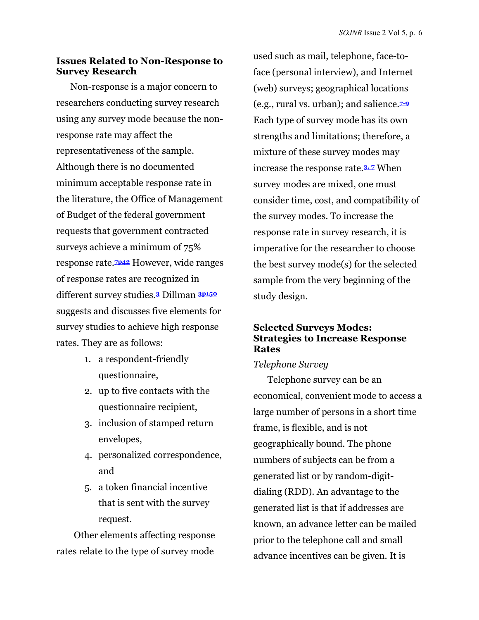## **Issues Related to Non-Response to Survey Research**

Non-response is a major concern to researchers conducting survey research using any survey mode because the nonresponse rate may affect the representativeness of the sample. Although there is no documented minimum acceptable response rate in the literature, the Office of Management of Budget of the federal government requests that government contracted surveys achieve a minimum of 75% response rate.**7p42** However, wide ranges of response rates are recognized in different survey studies.**<sup>3</sup>** Dillman **3p150** suggests and discusses five elements for survey studies to achieve high response rates. They are as follows:

- 1. a respondent-friendly questionnaire,
- 2. up to five contacts with the questionnaire recipient,
- 3. inclusion of stamped return envelopes,
- 4. personalized correspondence, and
- 5. a token financial incentive that is sent with the survey request.

Other elements affecting response rates relate to the type of survey mode

used such as mail, telephone, face-toface (personal interview), and Internet (web) surveys; geographical locations (e.g., rural vs. urban); and salience.**7-9** Each type of survey mode has its own strengths and limitations; therefore, a mixture of these survey modes may increase the response rate.**3, 7** When survey modes are mixed, one must consider time, cost, and compatibility of the survey modes. To increase the response rate in survey research, it is imperative for the researcher to choose the best survey mode(s) for the selected sample from the very beginning of the study design.

## **Selected Surveys Modes: Strategies to Increase Response Rates**

## *Telephone Survey*

Telephone survey can be an economical, convenient mode to access a large number of persons in a short time frame, is flexible, and is not geographically bound. The phone numbers of subjects can be from a generated list or by random-digitdialing (RDD). An advantage to the generated list is that if addresses are known, an advance letter can be mailed prior to the telephone call and small advance incentives can be given. It is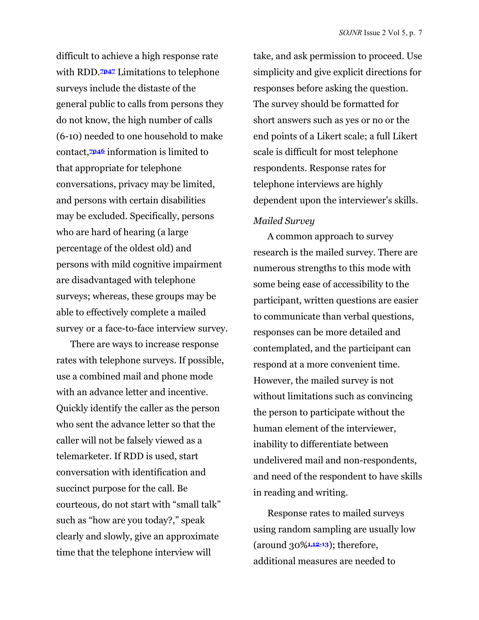difficult to achieve a high response rate with RDD.**7p47** Limitations to telephone surveys include the distaste of the general public to calls from persons they do not know, the high number of calls (6-10) needed to one household to make contact,**7p46** information is limited to that appropriate for telephone conversations, privacy may be limited, and persons with certain disabilities may be excluded. Specifically, persons who are hard of hearing (a large percentage of the oldest old) and persons with mild cognitive impairment are disadvantaged with telephone surveys; whereas, these groups may be able to effectively complete a mailed survey or a face-to-face interview survey.

There are ways to increase response rates with telephone surveys. If possible, use a combined mail and phone mode with an advance letter and incentive. Quickly identify the caller as the person who sent the advance letter so that the caller will not be falsely viewed as a telemarketer. If RDD is used, start conversation with identification and succinct purpose for the call. Be courteous, do not start with "small talk" such as "how are you today?," speak clearly and slowly, give an approximate time that the telephone interview will

take, and ask permission to proceed. Use simplicity and give explicit directions for responses before asking the question. The survey should be formatted for short answers such as yes or no or the end points of a Likert scale; a full Likert scale is difficult for most telephone respondents. Response rates for telephone interviews are highly dependent upon the interviewer's skills.

#### *Mailed Survey*

A common approach to survey research is the mailed survey. There are numerous strengths to this mode with some being ease of accessibility to the participant, written questions are easier to communicate than verbal questions, responses can be more detailed and contemplated, and the participant can respond at a more convenient time. However, the mailed survey is not without limitations such as convincing the person to participate without the human element of the interviewer, inability to differentiate between undelivered mail and non-respondents, and need of the respondent to have skills in reading and writing.

Response rates to mailed surveys using random sampling are usually low (around 30%**1**,**12-13**); therefore, additional measures are needed to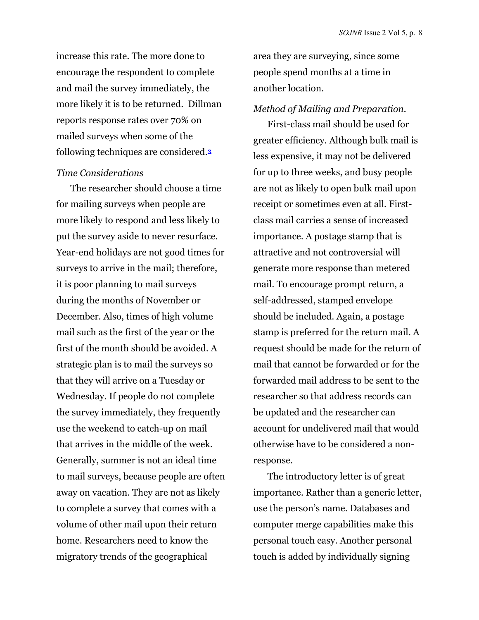increase this rate. The more done to encourage the respondent to complete and mail the survey immediately, the more likely it is to be returned. Dillman reports response rates over 70% on mailed surveys when some of the following techniques are considered.**<sup>3</sup>**

## *Time Considerations*

The researcher should choose a time for mailing surveys when people are more likely to respond and less likely to put the survey aside to never resurface. Year-end holidays are not good times for surveys to arrive in the mail; therefore, it is poor planning to mail surveys during the months of November or December. Also, times of high volume mail such as the first of the year or the first of the month should be avoided. A strategic plan is to mail the surveys so that they will arrive on a Tuesday or Wednesday. If people do not complete the survey immediately, they frequently use the weekend to catch-up on mail that arrives in the middle of the week. Generally, summer is not an ideal time to mail surveys, because people are often away on vacation. They are not as likely to complete a survey that comes with a volume of other mail upon their return home. Researchers need to know the migratory trends of the geographical

area they are surveying, since some people spend months at a time in another location.

#### *Method of Mailing and Preparation.*

First-class mail should be used for greater efficiency. Although bulk mail is less expensive, it may not be delivered for up to three weeks, and busy people are not as likely to open bulk mail upon receipt or sometimes even at all. Firstclass mail carries a sense of increased importance. A postage stamp that is attractive and not controversial will generate more response than metered mail. To encourage prompt return, a self-addressed, stamped envelope should be included. Again, a postage stamp is preferred for the return mail. A request should be made for the return of mail that cannot be forwarded or for the forwarded mail address to be sent to the researcher so that address records can be updated and the researcher can account for undelivered mail that would otherwise have to be considered a nonresponse.

The introductory letter is of great importance. Rather than a generic letter, use the person's name. Databases and computer merge capabilities make this personal touch easy. Another personal touch is added by individually signing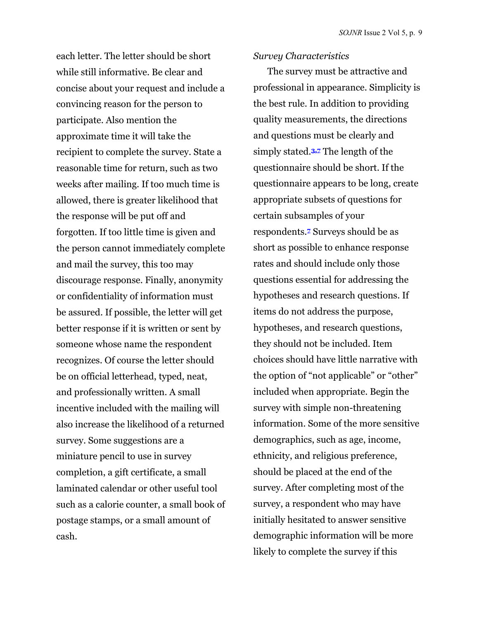each letter. The letter should be short while still informative. Be clear and concise about your request and include a convincing reason for the person to participate. Also mention the approximate time it will take the recipient to complete the survey. State a reasonable time for return, such as two weeks after mailing. If too much time is allowed, there is greater likelihood that the response will be put off and forgotten. If too little time is given and the person cannot immediately complete and mail the survey, this too may discourage response. Finally, anonymity or confidentiality of information must be assured. If possible, the letter will get better response if it is written or sent by someone whose name the respondent recognizes. Of course the letter should be on official letterhead, typed, neat, and professionally written. A small incentive included with the mailing will also increase the likelihood of a returned survey. Some suggestions are a miniature pencil to use in survey completion, a gift certificate, a small laminated calendar or other useful tool such as a calorie counter, a small book of postage stamps, or a small amount of cash.

#### *Survey Characteristics*

The survey must be attractive and professional in appearance. Simplicity is the best rule. In addition to providing quality measurements, the directions and questions must be clearly and simply stated.**3,7** The length of the questionnaire should be short. If the questionnaire appears to be long, create appropriate subsets of questions for certain subsamples of your respondents.**7** Surveys should be as short as possible to enhance response rates and should include only those questions essential for addressing the hypotheses and research questions. If items do not address the purpose, hypotheses, and research questions, they should not be included. Item choices should have little narrative with the option of "not applicable" or "other" included when appropriate. Begin the survey with simple non-threatening information. Some of the more sensitive demographics, such as age, income, ethnicity, and religious preference, should be placed at the end of the survey. After completing most of the survey, a respondent who may have initially hesitated to answer sensitive demographic information will be more likely to complete the survey if this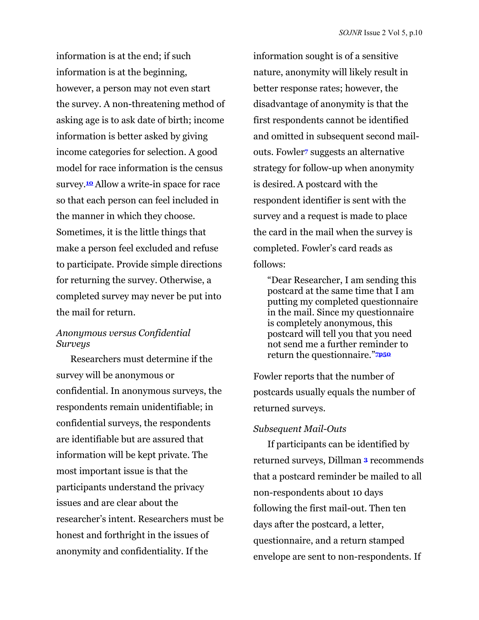information is at the end; if such information is at the beginning, however, a person may not even start the survey. A non-threatening method of asking age is to ask date of birth; income information is better asked by giving income categories for selection. A good model for race information is the census survey.**10** Allow a write-in space for race so that each person can feel included in the manner in which they choose. Sometimes, it is the little things that make a person feel excluded and refuse to participate. Provide simple directions for returning the survey. Otherwise, a completed survey may never be put into the mail for return.

## *Anonymous versus Confidential Surveys*

Researchers must determine if the survey will be anonymous or confidential. In anonymous surveys, the respondents remain unidentifiable; in confidential surveys, the respondents are identifiable but are assured that information will be kept private. The most important issue is that the participants understand the privacy issues and are clear about the researcher's intent. Researchers must be honest and forthright in the issues of anonymity and confidentiality. If the

information sought is of a sensitive nature, anonymity will likely result in better response rates; however, the disadvantage of anonymity is that the first respondents cannot be identified and omitted in subsequent second mailouts. Fowler**7** suggests an alternative strategy for follow-up when anonymity is desired.A postcard with the respondent identifier is sent with the survey and a request is made to place the card in the mail when the survey is completed. Fowler's card reads as follows:

"Dear Researcher, I am sending this postcard at the same time that I am putting my completed questionnaire in the mail. Since my questionnaire is completely anonymous, this postcard will tell you that you need not send me a further reminder to return the questionnaire."**7p50** 

Fowler reports that the number of postcards usually equals the number of returned surveys.

## *Subsequent Mail-Outs*

If participants can be identified by returned surveys, Dillman **<sup>3</sup>** recommends that a postcard reminder be mailed to all non-respondents about 10 days following the first mail-out. Then ten days after the postcard, a letter, questionnaire, and a return stamped envelope are sent to non-respondents. If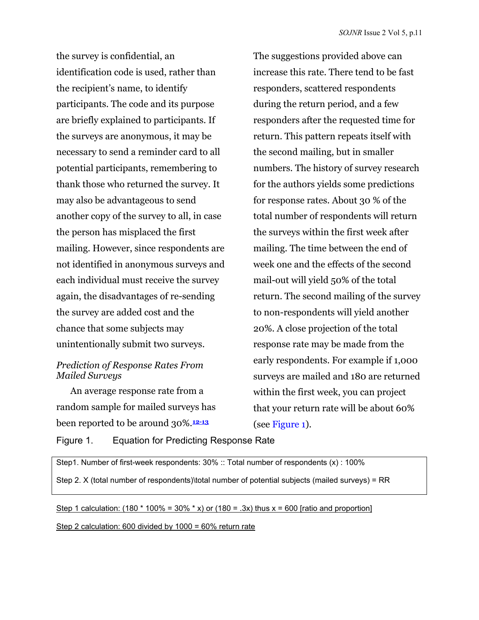the survey is confidential, an identification code is used, rather than the recipient's name, to identify participants. The code and its purpose are briefly explained to participants. If the surveys are anonymous, it may be necessary to send a reminder card to all potential participants, remembering to thank those who returned the survey. It may also be advantageous to send another copy of the survey to all, in case the person has misplaced the first mailing. However, since respondents are not identified in anonymous surveys and each individual must receive the survey again, the disadvantages of re-sending the survey are added cost and the chance that some subjects may unintentionally submit two surveys.

## *Prediction of Response Rates From Mailed Surveys*

An average response rate from a random sample for mailed surveys has been reported to be around 30%.**12-13**

The suggestions provided above can increase this rate. There tend to be fast responders, scattered respondents during the return period, and a few responders after the requested time for return. This pattern repeats itself with the second mailing, but in smaller numbers. The history of survey research for the authors yields some predictions for response rates. About 30 % of the total number of respondents will return the surveys within the first week after mailing. The time between the end of week one and the effects of the second mail-out will yield 50% of the total return. The second mailing of the survey to non-respondents will yield another 20%. A close projection of the total response rate may be made from the early respondents. For example if 1,000 surveys are mailed and 180 are returned within the first week, you can project that your return rate will be about 60% (see Figure 1).

Figure 1. Equation for Predicting Response Rate

Step1. Number of first-week respondents: 30% :: Total number of respondents (x) : 100%

Step 2. X (total number of respondents)\total number of potential subjects (mailed surveys) = RR

### Step 1 calculation: (180  $*$  100% = 30%  $*$  x) or (180 = .3x) thus x = 600 [ratio and proportion]

Step 2 calculation: 600 divided by 1000 = 60% return rate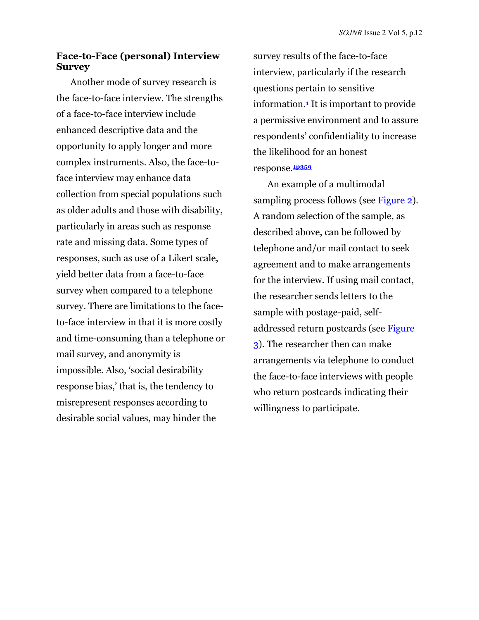### **Face-to-Face (personal) Interview Survey**

Another mode of survey research is the face-to-face interview. The strengths of a face-to-face interview include enhanced descriptive data and the opportunity to apply longer and more complex instruments. Also, the face-toface interview may enhance data collection from special populations such as older adults and those with disability, particularly in areas such as response rate and missing data. Some types of responses, such as use of a Likert scale, yield better data from a face-to-face survey when compared to a telephone survey. There are limitations to the faceto-face interview in that it is more costly and time-consuming than a telephone or mail survey, and anonymity is impossible. Also, 'social desirability response bias,' that is, the tendency to misrepresent responses according to desirable social values, may hinder the

survey results of the face-to-face interview, particularly if the research questions pertain to sensitive information.**1** It is important to provide a permissive environment and to assure respondents' confidentiality to increase the likelihood for an honest response.**1p359** 

An example of a multimodal sampling process follows (see [Figure 2\)](#page-12-0). A random selection of the sample, as described above, can be followed by telephone and/or mail contact to seek agreement and to make arrangements for the interview. If using mail contact, the researcher sends letters to the sample with postage-paid, selfaddressed return postcards (see [Figure](#page-12-0)  [3\).](#page-12-0) The researcher then can make arrangements via telephone to conduct the face-to-face interviews with people who return postcards indicating their willingness to participate.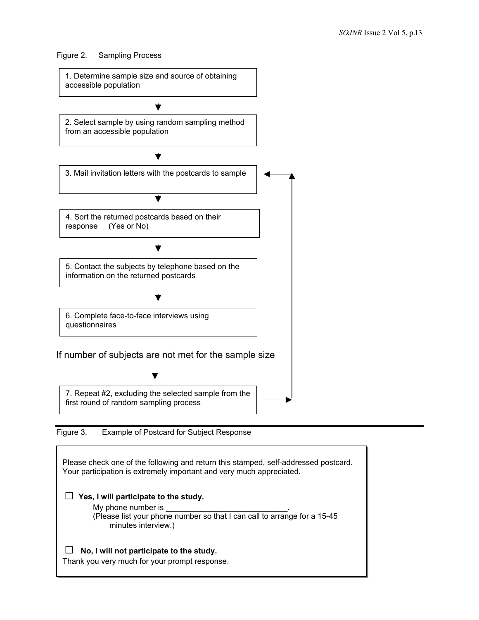<span id="page-12-0"></span>Figure 2. Sampling Process



2. Select sample by using random sampling method from an accessible population

 $\blacktriangledown$ 



Figure 3. Example of Postcard for Subject Response

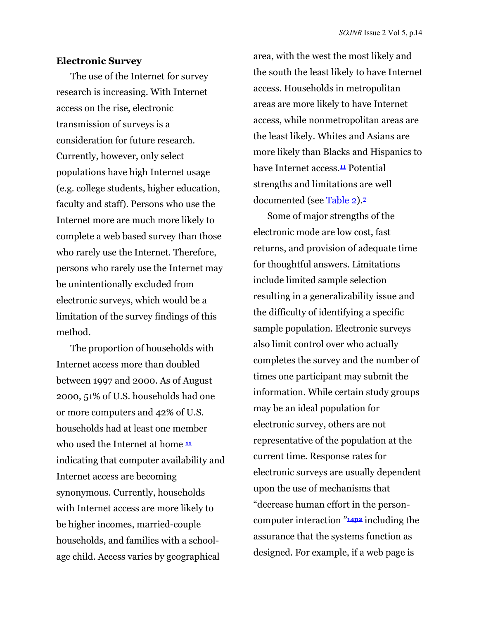#### **Electronic Survey**

The use of the Internet for survey research is increasing. With Internet access on the rise, electronic transmission of surveys is a consideration for future research. Currently, however, only select populations have high Internet usage (e.g. college students, higher education, faculty and staff). Persons who use the Internet more are much more likely to complete a web based survey than those who rarely use the Internet. Therefore, persons who rarely use the Internet may be unintentionally excluded from electronic surveys, which would be a limitation of the survey findings of this method.

The proportion of households with Internet access more than doubled between 1997 and 2000. As of August 2000, 51% of U.S. households had one or more computers and 42% of U.S. households had at least one member who used the Internet at home **<sup>11</sup>** indicating that computer availability and Internet access are becoming synonymous. Currently, households with Internet access are more likely to be higher incomes, married-couple households, and families with a schoolage child. Access varies by geographical

area, with the west the most likely and the south the least likely to have Internet access. Households in metropolitan areas are more likely to have Internet access, while nonmetropolitan areas are the least likely. Whites and Asians are more likely than Blacks and Hispanics to have Internet access.**11** Potential strengths and limitations are well documented (see [Table 2](#page-14-0)).**<sup>7</sup>**

Some of major strengths of the electronic mode are low cost, fast returns, and provision of adequate time for thoughtful answers. Limitations include limited sample selection resulting in a generalizability issue and the difficulty of identifying a specific sample population. Electronic surveys also limit control over who actually completes the survey and the number of times one participant may submit the information. While certain study groups may be an ideal population for electronic survey, others are not representative of the population at the current time. Response rates for electronic surveys are usually dependent upon the use of mechanisms that "decrease human effort in the personcomputer interaction "**14p2** including the assurance that the systems function as designed. For example, if a web page is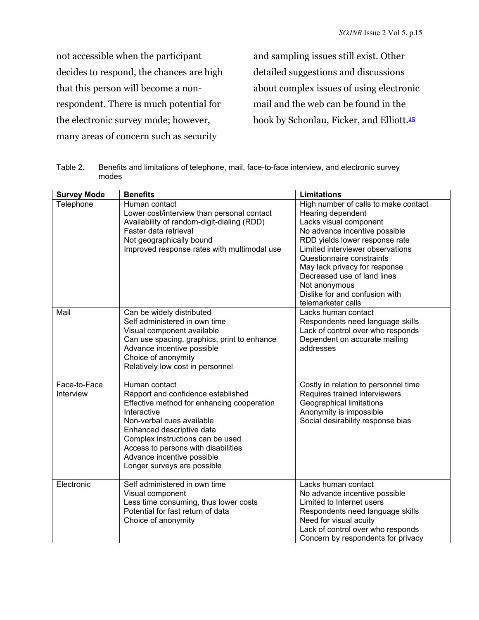<span id="page-14-0"></span>not accessible when the participant decides to respond, the chances are high that this person will become a nonrespondent. There is much potential for the electronic survey mode; however, many areas of concern such as security

and sampling issues still exist. Other detailed suggestions and discussions about complex issues of using electronic mail and the web can be found in the book by Schonlau, Ficker, and Elliott.**<sup>15</sup>**

| <b>Survey Mode</b>        | <b>Benefits</b>                                                                                                                                                                                                                                                                                                    | <b>Limitations</b>                                                                                                                                                                                                                                                                                                                                               |
|---------------------------|--------------------------------------------------------------------------------------------------------------------------------------------------------------------------------------------------------------------------------------------------------------------------------------------------------------------|------------------------------------------------------------------------------------------------------------------------------------------------------------------------------------------------------------------------------------------------------------------------------------------------------------------------------------------------------------------|
| Telephone                 | Human contact<br>Lower cost/interview than personal contact<br>Availability of random-digit-dialing (RDD)<br>Faster data retrieval<br>Not geographically bound<br>Improved response rates with multimodal use                                                                                                      | High number of calls to make contact<br>Hearing dependent<br>Lacks visual component<br>No advance incentive possible<br>RDD yields lower response rate<br>Limited interviewer observations<br>Questionnaire constraints<br>May lack privacy for response<br>Decreased use of land lines<br>Not anonymous<br>Dislike for and confusion with<br>telemarketer calls |
| Mail                      | Can be widely distributed<br>Self administered in own time<br>Visual component available<br>Can use spacing, graphics, print to enhance<br>Advance incentive possible<br>Choice of anonymity<br>Relatively low cost in personnel                                                                                   | Lacks human contact<br>Respondents need language skills<br>Lack of control over who responds<br>Dependent on accurate mailing<br>addresses                                                                                                                                                                                                                       |
| Face-to-Face<br>Interview | Human contact<br>Rapport and confidence established<br>Effective method for enhancing cooperation<br>Interactive<br>Non-verbal cues available<br>Enhanced descriptive data<br>Complex instructions can be used<br>Access to persons with disabilities<br>Advance incentive possible<br>Longer surveys are possible | Costly in relation to personnel time<br>Requires trained interviewers<br>Geographical limitations<br>Anonymity is impossible<br>Social desirability response bias                                                                                                                                                                                                |
| Electronic                | Self administered in own time<br>Visual component<br>Less time consuming, thus lower costs<br>Potential for fast return of data<br>Choice of anonymity                                                                                                                                                             | Lacks human contact<br>No advance incentive possible<br>Limited to Internet users<br>Respondents need language skills<br>Need for visual acuity<br>Lack of control over who responds<br>Concern by respondents for privacy                                                                                                                                       |

Table 2. Benefits and limitations of telephone, mail, face-to-face interview, and electronic survey modes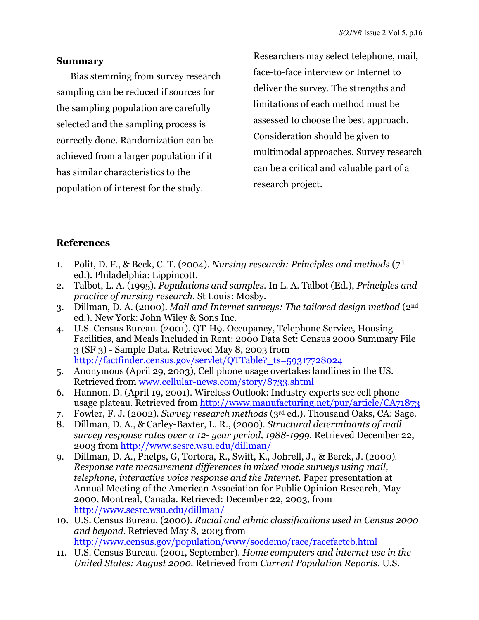## **Summary**

Bias stemming from survey research sampling can be reduced if sources for the sampling population are carefully selected and the sampling process is correctly done. Randomization can be achieved from a larger population if it has similar characteristics to the population of interest for the study.

Researchers may select telephone, mail, face-to-face interview or Internet to deliver the survey. The strengths and limitations of each method must be assessed to choose the best approach. Consideration should be given to multimodal approaches. Survey research can be a critical and valuable part of a research project.

# **References**

- 1. Polit, D. F., & Beck, C. T. (2004). *Nursing research: Principles and methods* (7th ed.). Philadelphia: Lippincott.
- 2. Talbot, L. A. (1995). *Populations and samples.* In L. A. Talbot (Ed.), *Principles and practice of nursing research*. St Louis: Mosby.
- 3. Dillman, D. A. (2000). *Mail and Internet surveys: The tailored design method* (2nd ed.). New York: John Wiley & Sons Inc.
- 4. U.S. Census Bureau. (2001). QT-H9. Occupancy, Telephone Service, Housing Facilities, and Meals Included in Rent: 2000 Data Set: Census 2000 Summary File 3 (SF 3) - Sample Data. Retrieved May 8, 2003 from [http://factfinder.census.gov/servlet/QTTable?\\_ts=59317728024](http://factfinder.census.gov/servlet/QTTable?_ts=59317728024)
- 5. Anonymous (April 29, 2003), Cell phone usage overtakes landlines in the US. Retrieved fro[m www.cellular-news.com/story/8733.shtml](http://www.cellular-news.com/story/8733.shtml)
- 6. Hannon, D. (April 19, 2001). Wireless Outlook: Industry experts see cell phone usage plateau. Retrieved from<http://www.manufacturing.net/pur/article/CA71873>
- 7. Fowler, F. J. (2002). *Survey research methods* (3rd ed.). Thousand Oaks, CA: Sage.
- 8. Dillman, D. A., & Carley-Baxter, L. R., (2000). *Structural determinants of mail survey response rates over a 12- year period, 1988-1999.* Retrieved December 22, 2003 fro[m http://www.sesrc.wsu.edu/dillman/](http://www.sesrc.wsu.edu/dillman/)
- 9. Dillman, D. A., Phelps, G, Tortora, R., Swift, K., Johrell, J., & Berck, J. (2000). *Response rate measurement differences in mixed mode surveys using mail, telephone, interactive voice response and the Internet.* Paper presentation at Annual Meeting of the American Association for Public Opinion Research, May 2000, Montreal, Canada. Retrieved: December 22, 2003, from <http://www.sesrc.wsu.edu/dillman/>
- 10. U.S. Census Bureau. (2000). *Racial and ethnic classifications used in Census 2000 and beyond*. Retrieved May 8, 2003 from <http://www.census.gov/population/www/socdemo/race/racefactcb.html>
- 11. U.S. Census Bureau. (2001, September). *Home computers and internet use in the United States: August 2000*. Retrieved from *Current Population Reports*. U.S.